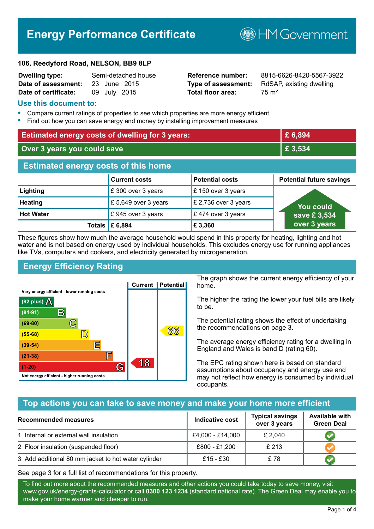# **Energy Performance Certificate**

#### **106, Reedyford Road, NELSON, BB9 8LP**

| <b>Dwelling type:</b>            | Semi-detached house |
|----------------------------------|---------------------|
| Date of assessment: 23 June 2015 |                     |
| Date of certificate:             | 09 July 2015        |

# **Total floor area:** 75 m<sup>2</sup>

**Dwelling type:** Semi-detached house **Reference number:** 8815-6626-8420-5567-3922 **Type of assessment:** RdSAP, existing dwelling

**BHM Government** 

## **Use this document to:**

- **•** Compare current ratings of properties to see which properties are more energy efficient
- **•** Find out how you can save energy and money by installing improvement measures

| <b>Estimated energy costs of dwelling for 3 years:</b> |                           |                        | £ 6,894                         |
|--------------------------------------------------------|---------------------------|------------------------|---------------------------------|
| Over 3 years you could save                            |                           | £ 3,534                |                                 |
| <b>Estimated energy costs of this home</b>             |                           |                        |                                 |
|                                                        | <b>Current costs</b>      | <b>Potential costs</b> | <b>Potential future savings</b> |
| Lighting                                               | £300 over 3 years         | £150 over 3 years      |                                 |
| <b>Heating</b>                                         | £5,649 over 3 years       | £ 2,736 over 3 years   | You could                       |
| <b>Hot Water</b>                                       | £945 over 3 years         | £474 over 3 years      | save £3,534                     |
|                                                        | Totals $\mathsf{E}$ 6,894 | £3,360                 | over 3 years                    |

These figures show how much the average household would spend in this property for heating, lighting and hot water and is not based on energy used by individual households. This excludes energy use for running appliances like TVs, computers and cookers, and electricity generated by microgeneration.

# **Energy Efficiency Rating**



The graph shows the current energy efficiency of your home.

The higher the rating the lower your fuel bills are likely to be.

The potential rating shows the effect of undertaking the recommendations on page 3.

The average energy efficiency rating for a dwelling in England and Wales is band D (rating 60).

The EPC rating shown here is based on standard assumptions about occupancy and energy use and may not reflect how energy is consumed by individual occupants.

# **Top actions you can take to save money and make your home more efficient**

| <b>Recommended measures</b>                         | Indicative cost  | <b>Typical savings</b><br>over 3 years | <b>Available with</b><br><b>Green Deal</b> |
|-----------------------------------------------------|------------------|----------------------------------------|--------------------------------------------|
| 1 Internal or external wall insulation              | £4,000 - £14,000 | £ 2,040                                |                                            |
| 2 Floor insulation (suspended floor)                | £800 - £1,200    | £ 213                                  |                                            |
| 3 Add additional 80 mm jacket to hot water cylinder | £15 - £30        | £78                                    |                                            |

See page 3 for a full list of recommendations for this property.

To find out more about the recommended measures and other actions you could take today to save money, visit www.gov.uk/energy-grants-calculator or call **0300 123 1234** (standard national rate). The Green Deal may enable you to make your home warmer and cheaper to run.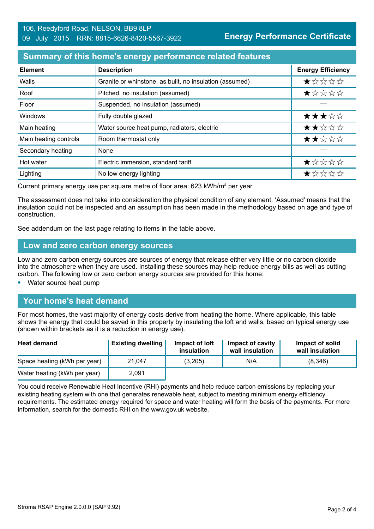## **Summary of this home's energy performance related features**

| <b>Element</b>        | <b>Description</b>                                      | <b>Energy Efficiency</b> |
|-----------------------|---------------------------------------------------------|--------------------------|
| Walls                 | Granite or whinstone, as built, no insulation (assumed) | $\star$ * * * *          |
| Roof                  | Pitched, no insulation (assumed)                        | *****                    |
| Floor                 | Suspended, no insulation (assumed)                      |                          |
| Windows               | Fully double glazed                                     | ★★★☆☆                    |
| Main heating          | Water source heat pump, radiators, electric             | ★★☆☆☆                    |
| Main heating controls | Room thermostat only                                    | ★★☆☆☆                    |
| Secondary heating     | None                                                    |                          |
| Hot water             | Electric immersion, standard tariff                     | ★☆☆☆☆                    |
| Lighting              | No low energy lighting                                  | ★☆☆☆☆                    |

Current primary energy use per square metre of floor area: 623 kWh/m² per year

The assessment does not take into consideration the physical condition of any element. 'Assumed' means that the insulation could not be inspected and an assumption has been made in the methodology based on age and type of construction.

See addendum on the last page relating to items in the table above.

#### **Low and zero carbon energy sources**

Low and zero carbon energy sources are sources of energy that release either very little or no carbon dioxide into the atmosphere when they are used. Installing these sources may help reduce energy bills as well as cutting carbon. The following low or zero carbon energy sources are provided for this home:

**•** Water source heat pump

# **Your home's heat demand**

For most homes, the vast majority of energy costs derive from heating the home. Where applicable, this table shows the energy that could be saved in this property by insulating the loft and walls, based on typical energy use (shown within brackets as it is a reduction in energy use).

| <b>Heat demand</b>           | <b>Existing dwelling</b> | Impact of loft<br>insulation | Impact of cavity<br>wall insulation | Impact of solid<br>wall insulation |
|------------------------------|--------------------------|------------------------------|-------------------------------------|------------------------------------|
| Space heating (kWh per year) | 21.047                   | (3,205)                      | N/A                                 | (8,346)                            |
| Water heating (kWh per year) | 2,091                    |                              |                                     |                                    |

You could receive Renewable Heat Incentive (RHI) payments and help reduce carbon emissions by replacing your existing heating system with one that generates renewable heat, subject to meeting minimum energy efficiency requirements. The estimated energy required for space and water heating will form the basis of the payments. For more information, search for the domestic RHI on the www.gov.uk website.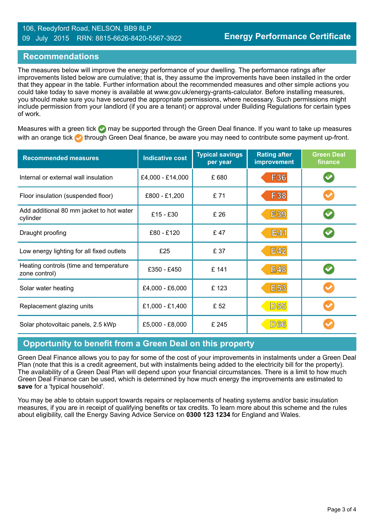#### 106, Reedyford Road, NELSON, BB9 8LP 09 July 2015 RRN: 8815-6626-8420-5567-3922

### **Recommendations**

The measures below will improve the energy performance of your dwelling. The performance ratings after improvements listed below are cumulative; that is, they assume the improvements have been installed in the order that they appear in the table. Further information about the recommended measures and other simple actions you could take today to save money is available at www.gov.uk/energy-grants-calculator. Before installing measures, you should make sure you have secured the appropriate permissions, where necessary. Such permissions might include permission from your landlord (if you are a tenant) or approval under Building Regulations for certain types of work.

Measures with a green tick  $\bullet$  may be supported through the Green Deal finance. If you want to take up measures with an orange tick **th** through Green Deal finance, be aware you may need to contribute some payment up-front.

| <b>Recommended measures</b>                             | <b>Indicative cost</b> | <b>Typical savings</b><br>per year | <b>Rating after</b><br>improvement | <b>Green Deal</b><br>finance |
|---------------------------------------------------------|------------------------|------------------------------------|------------------------------------|------------------------------|
| Internal or external wall insulation                    | £4,000 - £14,000       | £680                               | <b>F36</b>                         |                              |
| Floor insulation (suspended floor)                      | £800 - £1,200          | £71                                | <b>F38</b>                         |                              |
| Add additional 80 mm jacket to hot water<br>cylinder    | £15 - £30              | £ 26                               | <b>E39</b>                         |                              |
| Draught proofing                                        | £80 - £120             | £47                                | <b>E41</b>                         |                              |
| Low energy lighting for all fixed outlets               | £25                    | £ 37                               | <b>E42</b>                         |                              |
| Heating controls (time and temperature<br>zone control) | £350 - £450            | £ 141                              | <b>E48</b>                         |                              |
| Solar water heating                                     | £4,000 - £6,000        | £123                               | <b>E53</b>                         |                              |
| Replacement glazing units                               | £1,000 - £1,400        | £ 52                               | <b>D55</b>                         |                              |
| Solar photovoltaic panels, 2.5 kWp                      | £5,000 - £8,000        | £ 245                              | D66                                |                              |

# **Opportunity to benefit from a Green Deal on this property**

Green Deal Finance allows you to pay for some of the cost of your improvements in instalments under a Green Deal Plan (note that this is a credit agreement, but with instalments being added to the electricity bill for the property). The availability of a Green Deal Plan will depend upon your financial circumstances. There is a limit to how much Green Deal Finance can be used, which is determined by how much energy the improvements are estimated to **save** for a 'typical household'.

You may be able to obtain support towards repairs or replacements of heating systems and/or basic insulation measures, if you are in receipt of qualifying benefits or tax credits. To learn more about this scheme and the rules about eligibility, call the Energy Saving Advice Service on **0300 123 1234** for England and Wales.